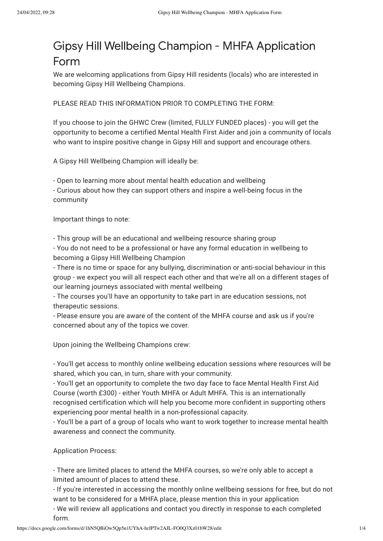## Gipsy Hill Wellbeing Champion - MHFA Application Form

We are welcoming applications from Gipsy Hill residents (locals) who are interested in becoming Gipsy Hill Wellbeing Champions.

PLEASE READ THIS INFORMATION PRIOR TO COMPLETING THE FORM:

If you choose to join the GHWC Crew (limited, FULLY FUNDED places) - you will get the opportunity to become a certified Mental Health First Aider and join a community of locals who want to inspire positive change in Gipsy Hill and support and encourage others.

A Gipsy Hill Wellbeing Champion will ideally be:

- Open to learning more about mental health education and wellbeing

- Curious about how they can support others and inspire a well-being focus in the community

Important things to note:

- This group will be an educational and wellbeing resource sharing group

- You do not need to be a professional or have any formal education in wellbeing to becoming a Gipsy Hill Wellbeing Champion

- There is no time or space for any bullying, discrimination or anti-social behaviour in this group - we expect you will all respect each other and that we're all on a different stages of our learning journeys associated with mental wellbeing

- The courses you'll have an opportunity to take part in are education sessions, not therapeutic sessions.

- Please ensure you are aware of the content of the MHFA course and ask us if you're concerned about any of the topics we cover.

Upon joining the Wellbeing Champions crew:

- You'll get access to monthly online wellbeing education sessions where resources will be shared, which you can, in turn, share with your community.

- You'll get an opportunity to complete the two day face to face Mental Health First Aid Course (worth £300) - either Youth MHFA or Adult MHFA. This is an internationally recognised certification which will help you become more confident in supporting others experiencing poor mental health in a non-professional capacity.

- You'll be a part of a group of locals who want to work together to increase mental health awareness and connect the community.

## Application Process:

- There are limited places to attend the MHFA courses, so we're only able to accept a limited amount of places to attend these.

- If you're interested in accessing the monthly online wellbeing sessions for free, but do not want to be considered for a MHFA place, please mention this in your application

- We will review all applications and contact you directly in response to each completed form.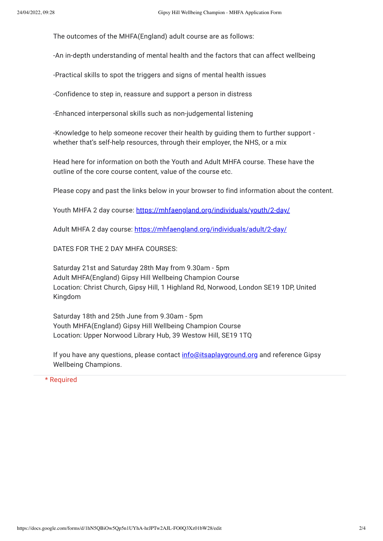The outcomes of the MHFA(England) adult course are as follows:

-An in-depth understanding of mental health and the factors that can affect wellbeing

-Practical skills to spot the triggers and signs of mental health issues

-Confidence to step in, reassure and support a person in distress

-Enhanced interpersonal skills such as non-judgemental listening

-Knowledge to help someone recover their health by guiding them to further support whether that's self-help resources, through their employer, the NHS, or a mix

Head here for information on both the Youth and Adult MHFA course. These have the outline of the core course content, value of the course etc.

Please copy and past the links below in your browser to find information about the content.

Youth MHFA 2 day course: [https://mhfaengland.org/individuals/youth/2-day/](https://www.google.com/url?q=https://mhfaengland.org/individuals/youth/2-day/&sa=D&source=editors&ust=1650767289057209&usg=AOvVaw0KnT9I9ULKZQkjnPmacdpW)

Adult MHFA 2 day course: [https://mhfaengland.org/individuals/adult/2-day/](https://www.google.com/url?q=https://mhfaengland.org/individuals/adult/2-day/&sa=D&source=editors&ust=1650767289057311&usg=AOvVaw1J4CUGaH3boJ-YOv6pvXuL)

DATES FOR THE 2 DAY MHFA COURSES:

Saturday 21st and Saturday 28th May from 9.30am - 5pm Adult MHFA(England) Gipsy Hill Wellbeing Champion Course Location: Christ Church, Gipsy Hill, 1 Highland Rd, Norwood, London SE19 1DP, United Kingdom

Saturday 18th and 25th June from 9.30am - 5pm Youth MHFA(England) Gipsy Hill Wellbeing Champion Course Location: Upper Norwood Library Hub, 39 Westow Hill, SE19 1TQ

If you have any questions, please contact [info@itsaplayground.org](mailto:info@itsaplayground.org) and reference Gipsy Wellbeing Champions.

\* Required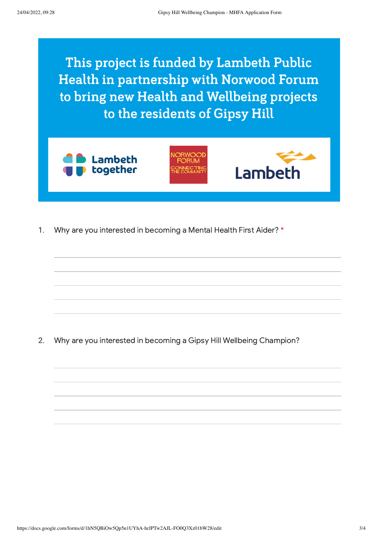This project is funded by Lambeth Public Health in partnership with Norwood Forum to bring new Health and Wellbeing projects to the residents of Gipsy Hill







1. Why are you interested in becoming a Mental Health First Aider? \*

2. Why are you interested in becoming a Gipsy Hill Wellbeing Champion?